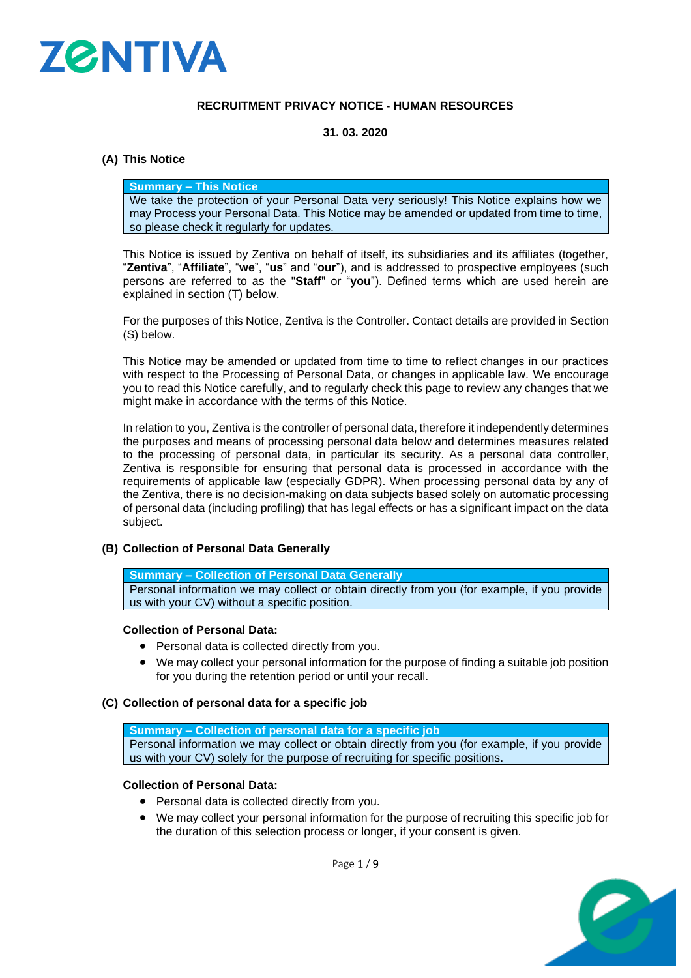

### **RECRUITMENT PRIVACY NOTICE - HUMAN RESOURCES**

### **31. 03. 2020**

### **(A) This Notice**

#### **Summary – This Notice**

We take the protection of your Personal Data very seriously! This Notice explains how we may Process your Personal Data. This Notice may be amended or updated from time to time, so please check it regularly for updates.

This Notice is issued by Zentiva on behalf of itself, its subsidiaries and its affiliates (together, "**Zentiva**", "**Affiliate**", "**we**", "**us**" and "**our**"), and is addressed to prospective employees (such persons are referred to as the "**Staff**" or "**you**"). Defined terms which are used herein are explained in section (T) below.

For the purposes of this Notice, Zentiva is the Controller. Contact details are provided in Section [\(S\)](#page-6-0) below.

This Notice may be amended or updated from time to time to reflect changes in our practices with respect to the Processing of Personal Data, or changes in applicable law. We encourage you to read this Notice carefully, and to regularly check this page to review any changes that we might make in accordance with the terms of this Notice.

In relation to you, Zentiva is the controller of personal data, therefore it independently determines the purposes and means of processing personal data below and determines measures related to the processing of personal data, in particular its security. As a personal data controller, Zentiva is responsible for ensuring that personal data is processed in accordance with the requirements of applicable law (especially GDPR). When processing personal data by any of the Zentiva, there is no decision-making on data subjects based solely on automatic processing of personal data (including profiling) that has legal effects or has a significant impact on the data subject.

### **(B) Collection of Personal Data Generally**

**Summary – Collection of Personal Data Generally**

Personal information we may collect or obtain directly from you (for example, if you provide us with your CV) without a specific position.

### **Collection of Personal Data:**

- Personal data is collected directly from you.
- We may collect your personal information for the purpose of finding a suitable job position for you during the retention period or until your recall.
- **(C) Collection of personal data for a specific job**

**Summary – Collection of personal data for a specific job** Personal information we may collect or obtain directly from you (for example, if you provide us with your CV) solely for the purpose of recruiting for specific positions.

#### **Collection of Personal Data:**

- Personal data is collected directly from you.
- We may collect your personal information for the purpose of recruiting this specific job for the duration of this selection process or longer, if your consent is given.

Page 1 / 9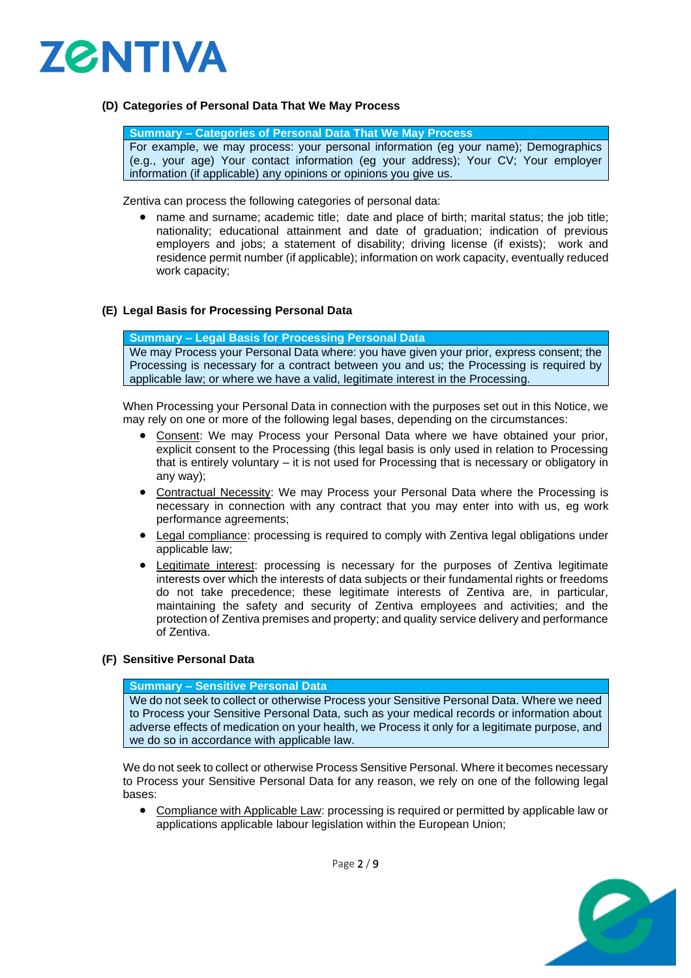

### **(D) Categories of Personal Data That We May Process**

**Summary – Categories of Personal Data That We May Process** For example, we may process: your personal information (eg your name); Demographics (e.g., your age) Your contact information (eg your address); Your CV; Your employer information (if applicable) any opinions or opinions you give us.

Zentiva can process the following categories of personal data:

• name and surname; academic title; date and place of birth; marital status; the job title; nationality; educational attainment and date of graduation; indication of previous employers and jobs; a statement of disability; driving license (if exists); work and residence permit number (if applicable); information on work capacity, eventually reduced work capacity;

### **(E) Legal Basis for Processing Personal Data**

**Summary – Legal Basis for Processing Personal Data**

We may Process your Personal Data where: you have given your prior, express consent; the Processing is necessary for a contract between you and us; the Processing is required by applicable law; or where we have a valid, legitimate interest in the Processing.

When Processing your Personal Data in connection with the purposes set out in this Notice, we may rely on one or more of the following legal bases, depending on the circumstances:

- Consent: We may Process your Personal Data where we have obtained your prior, explicit consent to the Processing (this legal basis is only used in relation to Processing that is entirely voluntary – it is not used for Processing that is necessary or obligatory in any way);
- Contractual Necessity: We may Process your Personal Data where the Processing is necessary in connection with any contract that you may enter into with us, eg work performance agreements;
- Legal compliance: processing is required to comply with Zentiva legal obligations under applicable law;
- Legitimate interest: processing is necessary for the purposes of Zentiva legitimate interests over which the interests of data subjects or their fundamental rights or freedoms do not take precedence; these legitimate interests of Zentiva are, in particular, maintaining the safety and security of Zentiva employees and activities; and the protection of Zentiva premises and property; and quality service delivery and performance of Zentiva.

#### **(F) Sensitive Personal Data**

#### **Summary – Sensitive Personal Data**

We do not seek to collect or otherwise Process your Sensitive Personal Data. Where we need to Process your Sensitive Personal Data, such as your medical records or information about adverse effects of medication on your health, we Process it only for a legitimate purpose, and we do so in accordance with applicable law.

We do not seek to collect or otherwise Process Sensitive Personal. Where it becomes necessary to Process your Sensitive Personal Data for any reason, we rely on one of the following legal bases:

• Compliance with Applicable Law: processing is required or permitted by applicable law or applications applicable labour legislation within the European Union;



Page 2 / 9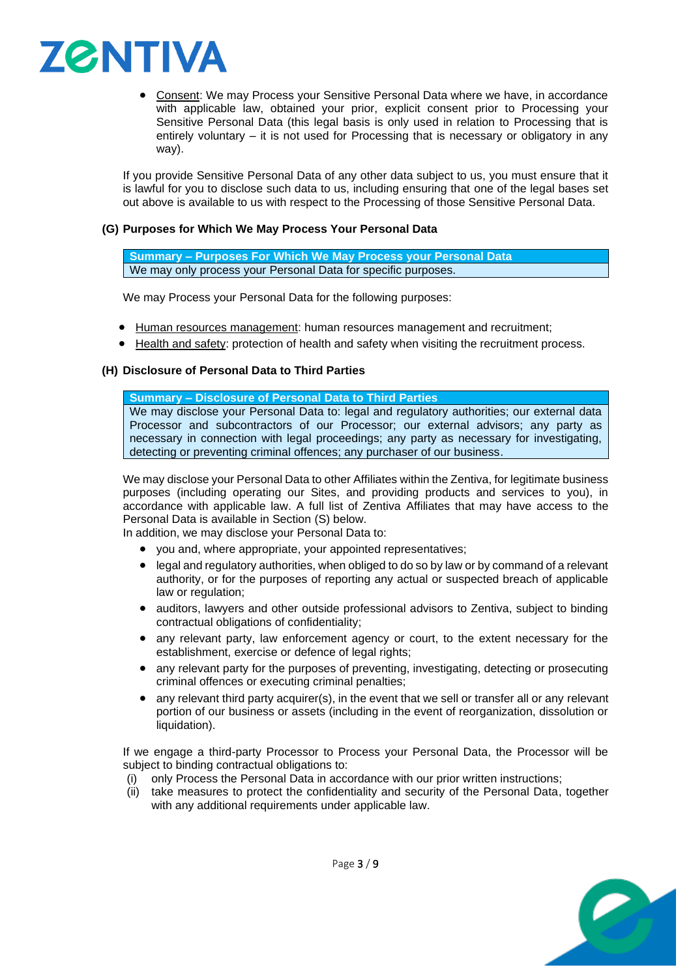

• Consent: We may Process your Sensitive Personal Data where we have, in accordance with applicable law, obtained your prior, explicit consent prior to Processing your Sensitive Personal Data (this legal basis is only used in relation to Processing that is entirely voluntary – it is not used for Processing that is necessary or obligatory in any way).

If you provide Sensitive Personal Data of any other data subject to us, you must ensure that it is lawful for you to disclose such data to us, including ensuring that one of the legal bases set out above is available to us with respect to the Processing of those Sensitive Personal Data.

### **(G) Purposes for Which We May Process Your Personal Data**

**Summary – Purposes For Which We May Process your Personal Data** We may only process your Personal Data for specific purposes.

We may Process your Personal Data for the following purposes:

- Human resources management: human resources management and recruitment;
- Health and safety: protection of health and safety when visiting the recruitment process.

### <span id="page-2-0"></span>**(H) Disclosure of Personal Data to Third Parties**

#### **Summary – Disclosure of Personal Data to Third Parties**

We may disclose your Personal Data to: legal and regulatory authorities; our external data Processor and subcontractors of our Processor; our external advisors; any party as necessary in connection with legal proceedings; any party as necessary for investigating, detecting or preventing criminal offences; any purchaser of our business.

We may disclose your Personal Data to other Affiliates within the Zentiva, for legitimate business purposes (including operating our Sites, and providing products and services to you), in accordance with applicable law. A full list of Zentiva Affiliates that may have access to the Personal Data is available in Section [\(S\)](#page-6-0) below.

In addition, we may disclose your Personal Data to:

- you and, where appropriate, your appointed representatives;
- legal and regulatory authorities, when obliged to do so by law or by command of a relevant authority, or for the purposes of reporting any actual or suspected breach of applicable law or regulation;
- auditors, lawyers and other outside professional advisors to Zentiva, subject to binding contractual obligations of confidentiality;
- any relevant party, law enforcement agency or court, to the extent necessary for the establishment, exercise or defence of legal rights;
- any relevant party for the purposes of preventing, investigating, detecting or prosecuting criminal offences or executing criminal penalties;
- any relevant third party acquirer(s), in the event that we sell or transfer all or any relevant portion of our business or assets (including in the event of reorganization, dissolution or liquidation).

If we engage a third-party Processor to Process your Personal Data, the Processor will be subject to binding contractual obligations to:

- (i) only Process the Personal Data in accordance with our prior written instructions;
- (ii) take measures to protect the confidentiality and security of the Personal Data, together with any additional requirements under applicable law.

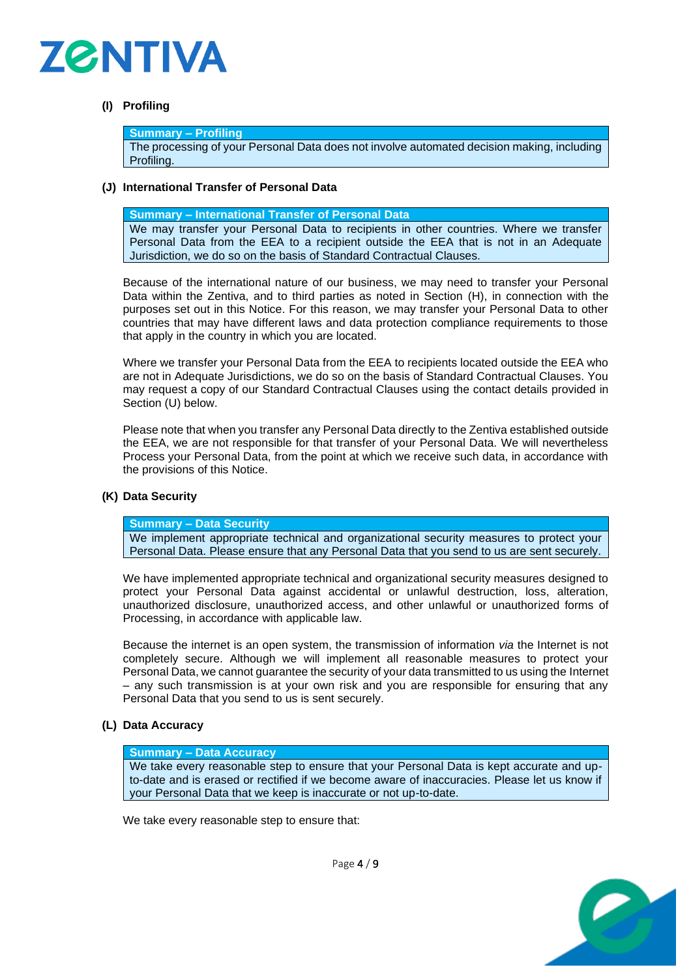

## **(I) Profiling**

#### **Summary – Profiling**

The processing of your Personal Data does not involve automated decision making, including Profiling.

### **(J) International Transfer of Personal Data**

**Summary – International Transfer of Personal Data**

We may transfer your Personal Data to recipients in other countries. Where we transfer Personal Data from the EEA to a recipient outside the EEA that is not in an Adequate Jurisdiction, we do so on the basis of Standard Contractual Clauses.

Because of the international nature of our business, we may need to transfer your Personal Data within the Zentiva, and to third parties as noted in Section [\(H\),](#page-2-0) in connection with the purposes set out in this Notice. For this reason, we may transfer your Personal Data to other countries that may have different laws and data protection compliance requirements to those that apply in the country in which you are located.

Where we transfer your Personal Data from the EEA to recipients located outside the EEA who are not in Adequate Jurisdictions, we do so on the basis of Standard Contractual Clauses. You may request a copy of our Standard Contractual Clauses using the contact details provided in Section (U) below.

Please note that when you transfer any Personal Data directly to the Zentiva established outside the EEA, we are not responsible for that transfer of your Personal Data. We will nevertheless Process your Personal Data, from the point at which we receive such data, in accordance with the provisions of this Notice.

### **(K) Data Security**

**Summary – Data Security**

We implement appropriate technical and organizational security measures to protect your Personal Data. Please ensure that any Personal Data that you send to us are sent securely.

We have implemented appropriate technical and organizational security measures designed to protect your Personal Data against accidental or unlawful destruction, loss, alteration, unauthorized disclosure, unauthorized access, and other unlawful or unauthorized forms of Processing, in accordance with applicable law.

Because the internet is an open system, the transmission of information *via* the Internet is not completely secure. Although we will implement all reasonable measures to protect your Personal Data, we cannot guarantee the security of your data transmitted to us using the Internet – any such transmission is at your own risk and you are responsible for ensuring that any Personal Data that you send to us is sent securely.

### **(L) Data Accuracy**

#### **Summary – Data Accuracy**

We take every reasonable step to ensure that your Personal Data is kept accurate and upto-date and is erased or rectified if we become aware of inaccuracies. Please let us know if your Personal Data that we keep is inaccurate or not up-to-date.

We take every reasonable step to ensure that:



Page 4 / 9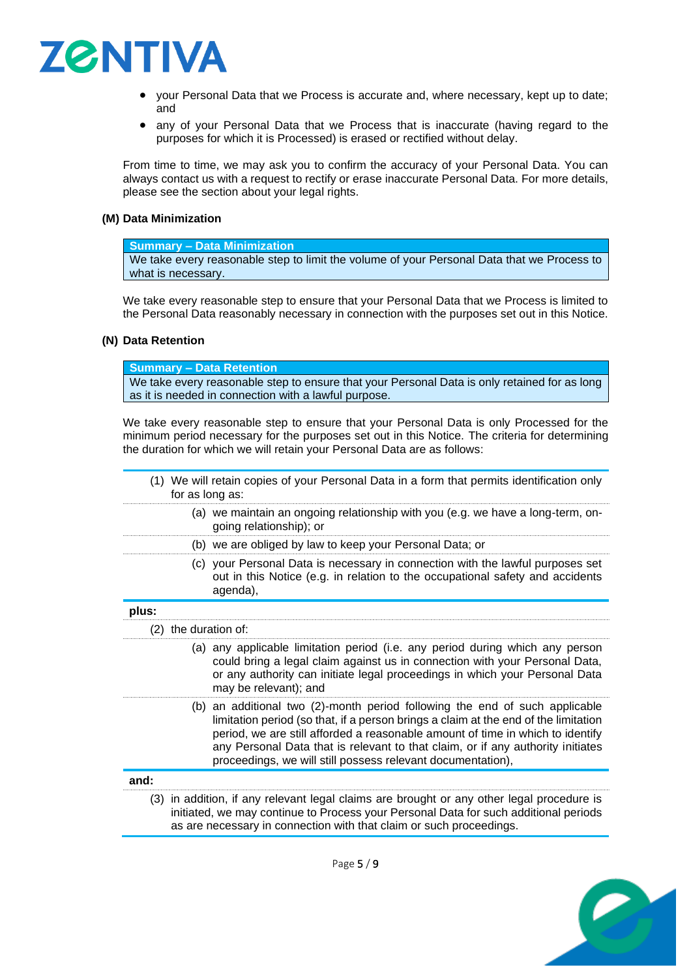

- your Personal Data that we Process is accurate and, where necessary, kept up to date; and
- any of your Personal Data that we Process that is inaccurate (having regard to the purposes for which it is Processed) is erased or rectified without delay.

From time to time, we may ask you to confirm the accuracy of your Personal Data. You can always contact us with a request to rectify or erase inaccurate Personal Data. For more details, please see the section about your legal rights.

### **(M) Data Minimization**

### **Summary – Data Minimization**

We take every reasonable step to limit the volume of your Personal Data that we Process to what is necessary.

We take every reasonable step to ensure that your Personal Data that we Process is limited to the Personal Data reasonably necessary in connection with the purposes set out in this Notice.

### **(N) Data Retention**

**Summary – Data Retention**

We take every reasonable step to ensure that your Personal Data is only retained for as long as it is needed in connection with a lawful purpose.

We take every reasonable step to ensure that your Personal Data is only Processed for the minimum period necessary for the purposes set out in this Notice. The criteria for determining the duration for which we will retain your Personal Data are as follows:

<span id="page-4-3"></span><span id="page-4-2"></span><span id="page-4-1"></span><span id="page-4-0"></span>

|       | (1) We will retain copies of your Personal Data in a form that permits identification only<br>for as long as: |                                                                                                                                                                                                                                                                                                                                                                                                        |  |
|-------|---------------------------------------------------------------------------------------------------------------|--------------------------------------------------------------------------------------------------------------------------------------------------------------------------------------------------------------------------------------------------------------------------------------------------------------------------------------------------------------------------------------------------------|--|
|       |                                                                                                               | (a) we maintain an ongoing relationship with you (e.g. we have a long-term, on-<br>going relationship); or                                                                                                                                                                                                                                                                                             |  |
|       |                                                                                                               | (b) we are obliged by law to keep your Personal Data; or                                                                                                                                                                                                                                                                                                                                               |  |
|       |                                                                                                               | (c) your Personal Data is necessary in connection with the lawful purposes set<br>out in this Notice (e.g. in relation to the occupational safety and accidents<br>agenda),                                                                                                                                                                                                                            |  |
| plus: |                                                                                                               |                                                                                                                                                                                                                                                                                                                                                                                                        |  |
|       | (2) the duration of:                                                                                          |                                                                                                                                                                                                                                                                                                                                                                                                        |  |
|       |                                                                                                               | (a) any applicable limitation period (i.e. any period during which any person<br>could bring a legal claim against us in connection with your Personal Data,<br>or any authority can initiate legal proceedings in which your Personal Data<br>may be relevant); and                                                                                                                                   |  |
|       |                                                                                                               | (b) an additional two (2)-month period following the end of such applicable<br>limitation period (so that, if a person brings a claim at the end of the limitation<br>period, we are still afforded a reasonable amount of time in which to identify<br>any Personal Data that is relevant to that claim, or if any authority initiates<br>proceedings, we will still possess relevant documentation), |  |
| and:  |                                                                                                               |                                                                                                                                                                                                                                                                                                                                                                                                        |  |
|       |                                                                                                               | (3) in addition, if any relevant legal claims are brought or any other legal procedure is<br>initiated, we may continue to Process your Personal Data for such additional periods<br>as are necessary in connection with that claim or such proceedings.                                                                                                                                               |  |



<span id="page-4-4"></span>Page 5 / 9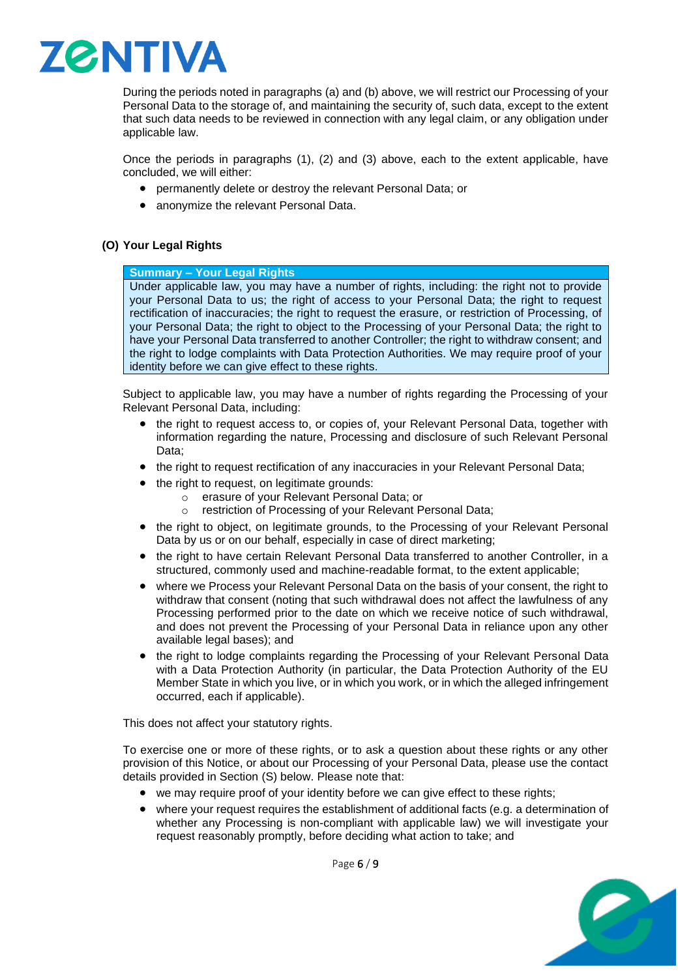

During the periods noted in paragraphs [\(a\)](#page-4-0) and [\(b\)](#page-4-1) above, we will restrict our Processing of your Personal Data to the storage of, and maintaining the security of, such data, except to the extent that such data needs to be reviewed in connection with any legal claim, or any obligation under applicable law.

Once the periods in paragraphs [\(1\),](#page-4-2) [\(2\)](#page-4-3) and [\(3\)](#page-4-4) above, each to the extent applicable, have concluded, we will either:

- permanently delete or destroy the relevant Personal Data; or
- anonymize the relevant Personal Data.

### **(O) Your Legal Rights**

# **Summary – Your Legal Rights**

Under applicable law, you may have a number of rights, including: the right not to provide your Personal Data to us; the right of access to your Personal Data; the right to request rectification of inaccuracies; the right to request the erasure, or restriction of Processing, of your Personal Data; the right to object to the Processing of your Personal Data; the right to have your Personal Data transferred to another Controller; the right to withdraw consent; and the right to lodge complaints with Data Protection Authorities. We may require proof of your identity before we can give effect to these rights.

Subject to applicable law, you may have a number of rights regarding the Processing of your Relevant Personal Data, including:

- the right to request access to, or copies of, your Relevant Personal Data, together with information regarding the nature, Processing and disclosure of such Relevant Personal Data;
- the right to request rectification of any inaccuracies in your Relevant Personal Data;
- the right to request, on legitimate grounds:
	- o erasure of your Relevant Personal Data; or
	- o restriction of Processing of your Relevant Personal Data;
- the right to object, on legitimate grounds, to the Processing of your Relevant Personal Data by us or on our behalf, especially in case of direct marketing;
- the right to have certain Relevant Personal Data transferred to another Controller, in a structured, commonly used and machine-readable format, to the extent applicable;
- where we Process your Relevant Personal Data on the basis of your consent, the right to withdraw that consent (noting that such withdrawal does not affect the lawfulness of any Processing performed prior to the date on which we receive notice of such withdrawal, and does not prevent the Processing of your Personal Data in reliance upon any other available legal bases); and
- the right to lodge complaints regarding the Processing of your Relevant Personal Data with a Data Protection Authority (in particular, the Data Protection Authority of the EU Member State in which you live, or in which you work, or in which the alleged infringement occurred, each if applicable).

This does not affect your statutory rights.

To exercise one or more of these rights, or to ask a question about these rights or any other provision of this Notice, or about our Processing of your Personal Data, please use the contact details provided in Section [\(S\)](#page-6-0) below. Please note that:

- we may require proof of your identity before we can give effect to these rights;
- where your request requires the establishment of additional facts (e.g. a determination of whether any Processing is non-compliant with applicable law) we will investigate your request reasonably promptly, before deciding what action to take; and



Page 6 / 9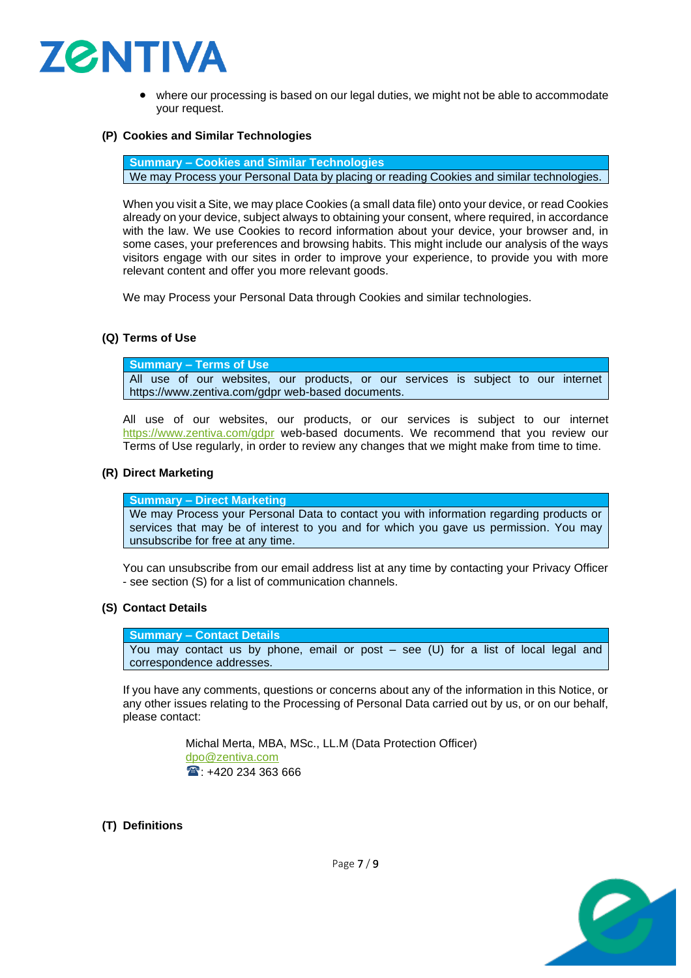

where our processing is based on our legal duties, we might not be able to accommodate your request.

### **(P) Cookies and Similar Technologies**

**Summary – Cookies and Similar Technologies**

We may Process your Personal Data by placing or reading Cookies and similar technologies.

When you visit a Site, we may place Cookies (a small data file) onto your device, or read Cookies already on your device, subject always to obtaining your consent, where required, in accordance with the law. We use Cookies to record information about your device, your browser and, in some cases, your preferences and browsing habits. This might include our analysis of the ways visitors engage with our sites in order to improve your experience, to provide you with more relevant content and offer you more relevant goods.

We may Process your Personal Data through Cookies and similar technologies.

### **(Q) Terms of Use**

**Summary – Terms of Use** All use of our websites, our products, or our services is subject to our internet https://www.zentiva.com/gdpr web-based documents.

All use of our websites, our products, or our services is subject to our internet <https://www.zentiva.com/gdpr> web-based documents. We recommend that you review our Terms of Use regularly, in order to review any changes that we might make from time to time.

### **(R) Direct Marketing**

**Summary – Direct Marketing** We may Process your Personal Data to contact you with information regarding products or services that may be of interest to you and for which you gave us permission. You may unsubscribe for free at any time.

You can unsubscribe from our email address list at any time by contacting your Privacy Officer - see section (S) for a list of communication channels.

### <span id="page-6-0"></span>**(S) Contact Details**

**Summary – Contact Details** You may contact us by phone, email or post – see (U) for a list of local legal and correspondence addresses.

If you have any comments, questions or concerns about any of the information in this Notice, or any other issues relating to the Processing of Personal Data carried out by us, or on our behalf, please contact:

> Michal Merta, MBA, MSc., LL.M (Data Protection Officer) [dpo@zentiva.com](mailto:dpo@zentiva.com)  $\text{1}^{\text{20}}$ : +420 234 363 666

### **(T) Definitions**



Page 7 / 9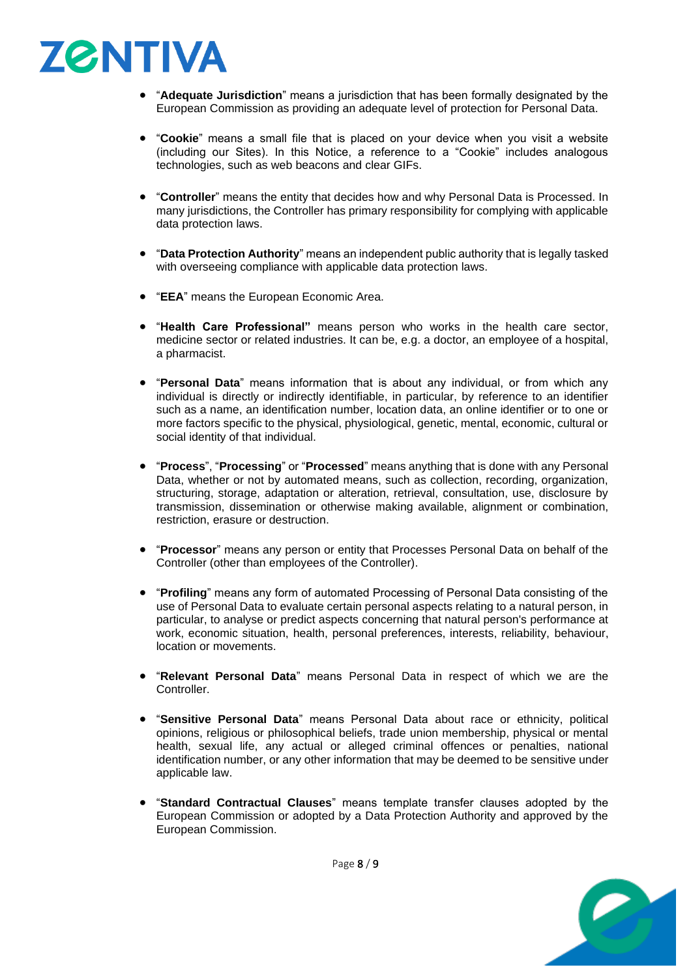

- "**Adequate Jurisdiction**" means a jurisdiction that has been formally designated by the European Commission as providing an adequate level of protection for Personal Data.
- "**Cookie**" means a small file that is placed on your device when you visit a website (including our Sites). In this Notice, a reference to a "Cookie" includes analogous technologies, such as web beacons and clear GIFs.
- "**Controller**" means the entity that decides how and why Personal Data is Processed. In many jurisdictions, the Controller has primary responsibility for complying with applicable data protection laws.
- "**Data Protection Authority**" means an independent public authority that is legally tasked with overseeing compliance with applicable data protection laws.
- "**EEA**" means the European Economic Area.
- "**Health Care Professional"** means person who works in the health care sector, medicine sector or related industries. It can be, e.g. a doctor, an employee of a hospital, a pharmacist.
- "**Personal Data**" means information that is about any individual, or from which any individual is directly or indirectly identifiable, in particular, by reference to an identifier such as a name, an identification number, location data, an online identifier or to one or more factors specific to the physical, physiological, genetic, mental, economic, cultural or social identity of that individual.
- "**Process**", "**Processing**" or "**Processed**" means anything that is done with any Personal Data, whether or not by automated means, such as collection, recording, organization, structuring, storage, adaptation or alteration, retrieval, consultation, use, disclosure by transmission, dissemination or otherwise making available, alignment or combination, restriction, erasure or destruction.
- "**Processor**" means any person or entity that Processes Personal Data on behalf of the Controller (other than employees of the Controller).
- "**Profiling**" means any form of automated Processing of Personal Data consisting of the use of Personal Data to evaluate certain personal aspects relating to a natural person, in particular, to analyse or predict aspects concerning that natural person's performance at work, economic situation, health, personal preferences, interests, reliability, behaviour, location or movements.
- "**Relevant Personal Data**" means Personal Data in respect of which we are the Controller.
- "**Sensitive Personal Data**" means Personal Data about race or ethnicity, political opinions, religious or philosophical beliefs, trade union membership, physical or mental health, sexual life, any actual or alleged criminal offences or penalties, national identification number, or any other information that may be deemed to be sensitive under applicable law.
- "**Standard Contractual Clauses**" means template transfer clauses adopted by the European Commission or adopted by a Data Protection Authority and approved by the European Commission.



Page 8 / 9